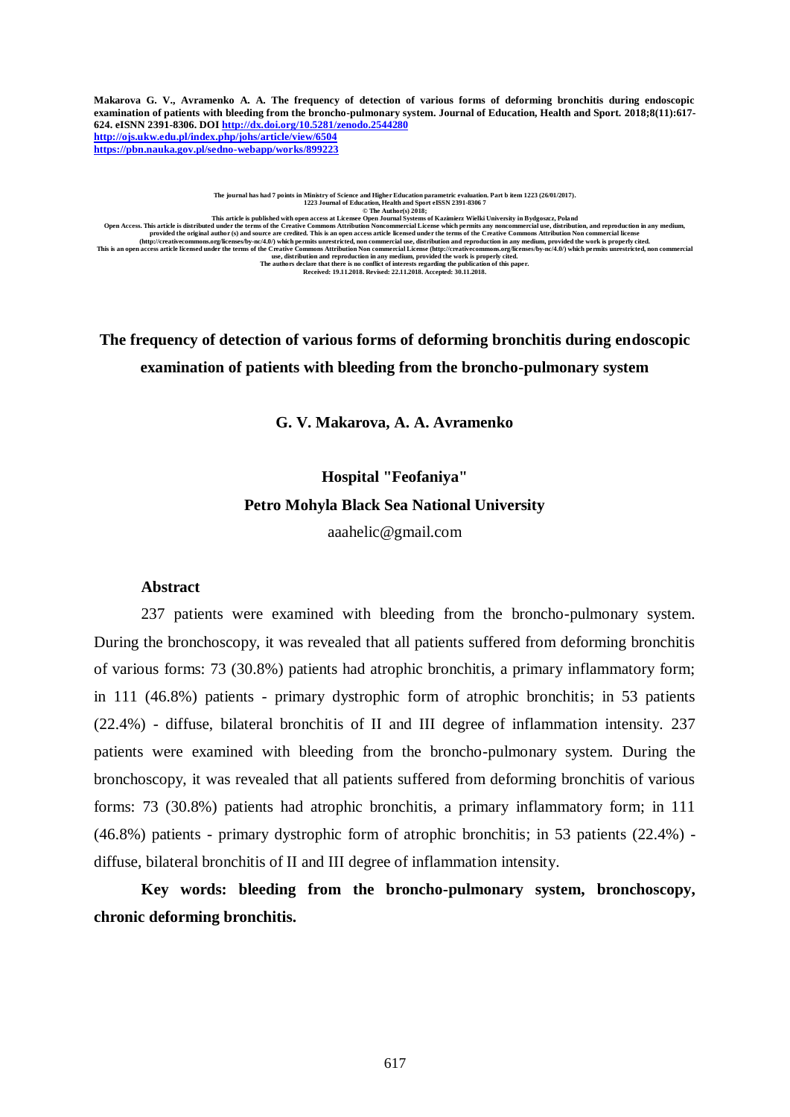**Makarova G. V., Avramenko A. A. The frequency of detection of various forms of deforming bronchitis during endoscopic examination of patients with bleeding from the broncho-pulmonary system. Journal of Education, Health and Sport. 2018;8(11):617- 624. eISNN 2391-8306. DO[I http://dx.doi.org/10.5281/zenodo.2544280](http://dx.doi.org/10.5281/zenodo.2544280) <http://ojs.ukw.edu.pl/index.php/johs/article/view/6504> <https://pbn.nauka.gov.pl/sedno-webapp/works/899223>**

The journal has had 7 points in Ministry of Science and Higher Education parametric evaluation. Part b item 1223 (26/01/2017).<br>1223 Journal of Education, Health and Sport eISSN 2391-8306 7<br>© The Author(s) 2018; This article is distribute with open access at License Open Journal Systems of Kazimierz Wielki University in Bydgoszz, Poland<br>Open Access. This article is distributed under the terms of the Creative Commons Attribution No

# **The frequency of detection of various forms of deforming bronchitis during endoscopic examination of patients with bleeding from the broncho-pulmonary system**

**G. V. Makarova, A. A. Avramenko**

# **Hospital "Feofaniya" Petro Mohyla Black Sea National University**

[aaahelic@gmail.com](mailto:aaahelic@gmail.com)

### **Abstract**

237 patients were examined with bleeding from the broncho-pulmonary system. During the bronchoscopy, it was revealed that all patients suffered from deforming bronchitis of various forms: 73 (30.8%) patients had atrophic bronchitis, a primary inflammatory form; in 111 (46.8%) patients - primary dystrophic form of atrophic bronchitis; in 53 patients (22.4%) - diffuse, bilateral bronchitis of II and III degree of inflammation intensity. 237 patients were examined with bleeding from the broncho-pulmonary system. During the bronchoscopy, it was revealed that all patients suffered from deforming bronchitis of various forms: 73 (30.8%) patients had atrophic bronchitis, a primary inflammatory form; in 111 (46.8%) patients - primary dystrophic form of atrophic bronchitis; in 53 patients (22.4%) diffuse, bilateral bronchitis of II and III degree of inflammation intensity.

**Key words: bleeding from the broncho-pulmonary system, bronchoscopy, chronic deforming bronchitis.**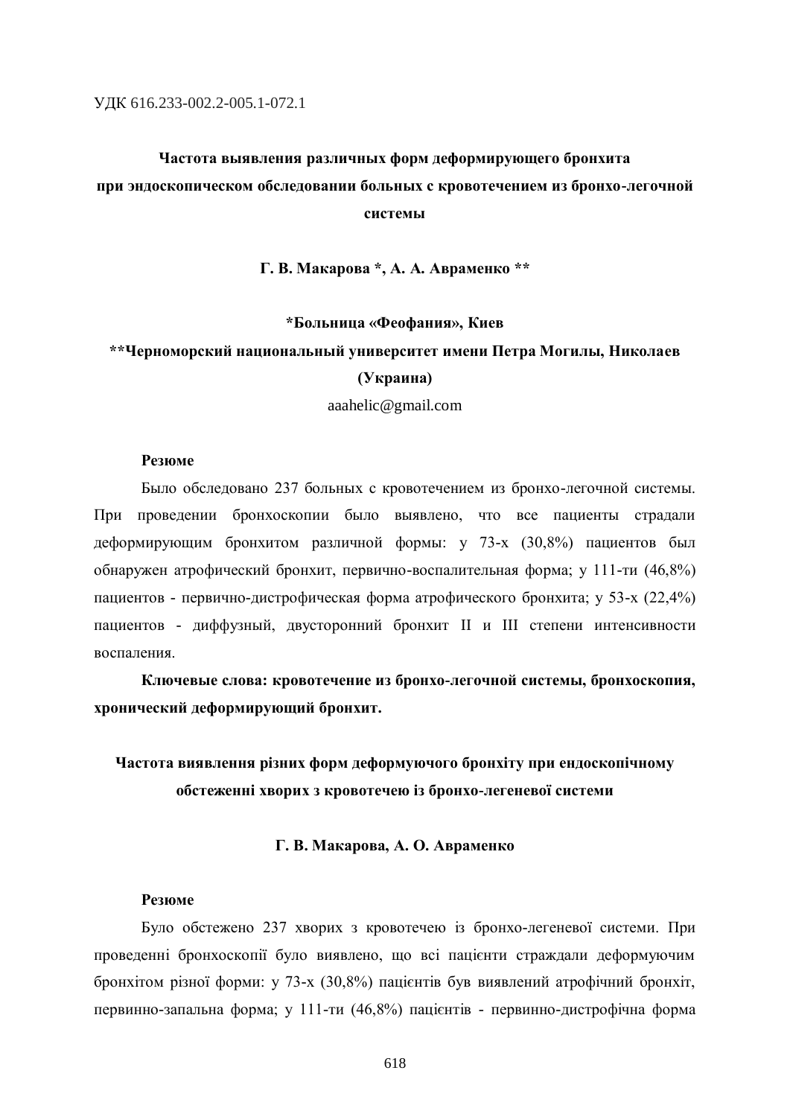# **Частота выявления различных форм деформирующего бронхита при эндоскопическом обследовании больных с кровотечением из бронхо-легочной системы**

**Г. В. Макарова \*, А. А. Авраменко \*\***

#### **\*Больница «Феофания», Киев**

### **\*\*Черноморский национальный университет имени Петра Могилы, Николаев**

#### **(Украина)**

[aaahelic@gmail.com](mailto:aaahelic@gmail.com)

### **Резюме**

Было обследовано 237 больных с кровотечением из бронхо-легочной системы. При проведении бронхоскопии было выявлено, что все пациенты страдали деформирующим бронхитом различной формы: у 73-х (30,8%) пациентов был обнаружен атрофический бронхит, первично-воспалительная форма; у 111-ти (46,8%) пациентов - первично-дистрофическая форма атрофического бронхита; у 53-х (22,4%) пациентов - диффузный, двусторонний бронхит II и III степени интенсивности воспаления.

**Ключевые слова: кровотечение из бронхо-легочной системы, бронхоскопия, хронический деформирующий бронхит.**

### **Частота виявлення різних форм деформуючого бронхіту при ендоскопічному обстеженні хворих з кровотечею із бронхо-легеневої системи**

#### **Г. В. Макарова, А. О. Авраменко**

#### **Резюме**

Було обстежено 237 хворих з кровотечею із бронхо-легеневої системи. При проведенні бронхоскопії було виявлено, що всі пацієнти страждали деформуючим бронхітом різної форми: у 73-х (30,8%) пацієнтів був виявлений атрофічний бронхіт, первинно-запальна форма; у 111-ти (46,8%) пацієнтів - первинно-дистрофічна форма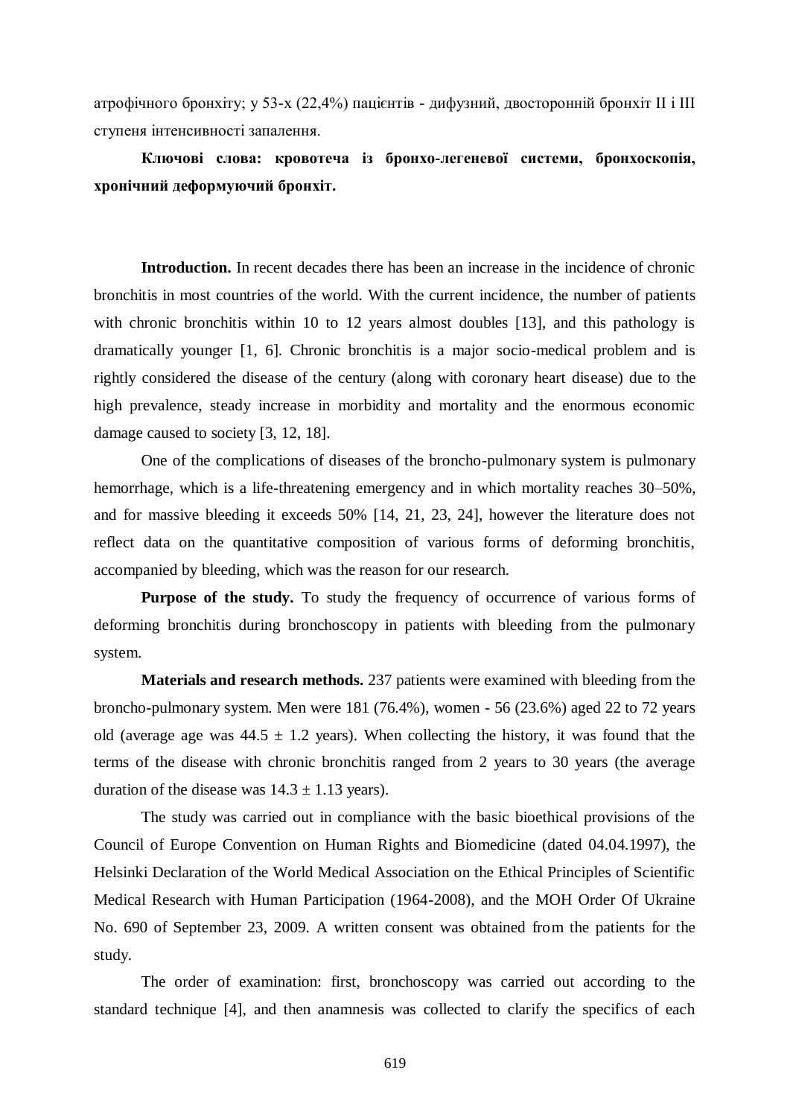атрофічного бронхіту; у 53-х (22,4%) пацієнтів - дифузний, двосторонній бронхіт II і III ступеня інтенсивності запалення.

# **Ключові слова: кровотеча із бронхо-легеневої системи, бронхоскопія, хронічний деформуючий бронхіт.**

**Introduction.** In recent decades there has been an increase in the incidence of chronic bronchitis in most countries of the world. With the current incidence, the number of patients with chronic bronchitis within 10 to 12 years almost doubles [13], and this pathology is dramatically younger [1, 6]. Chronic bronchitis is a major socio-medical problem and is rightly considered the disease of the century (along with coronary heart disease) due to the high prevalence, steady increase in morbidity and mortality and the enormous economic damage caused to society [3, 12, 18].

One of the complications of diseases of the broncho-pulmonary system is pulmonary hemorrhage, which is a life-threatening emergency and in which mortality reaches 30–50%, and for massive bleeding it exceeds 50% [14, 21, 23, 24], however the literature does not reflect data on the quantitative composition of various forms of deforming bronchitis, accompanied by bleeding, which was the reason for our research.

**Purpose of the study.** To study the frequency of occurrence of various forms of deforming bronchitis during bronchoscopy in patients with bleeding from the pulmonary system.

**Materials and research methods.** 237 patients were examined with bleeding from the broncho-pulmonary system. Men were 181 (76.4%), women - 56 (23.6%) aged 22 to 72 years old (average age was  $44.5 \pm 1.2$  years). When collecting the history, it was found that the terms of the disease with chronic bronchitis ranged from 2 years to 30 years (the average duration of the disease was  $14.3 \pm 1.13$  years).

The study was carried out in compliance with the basic bioethical provisions of the Council of Europe Convention on Human Rights and Biomedicine (dated 04.04.1997), the Helsinki Declaration of the World Medical Association on the Ethical Principles of Scientific Medical Research with Human Participation (1964-2008), and the MOH Order Of Ukraine No. 690 of September 23, 2009. A written consent was obtained from the patients for the study.

The order of examination: first, bronchoscopy was carried out according to the standard technique [4], and then anamnesis was collected to clarify the specifics of each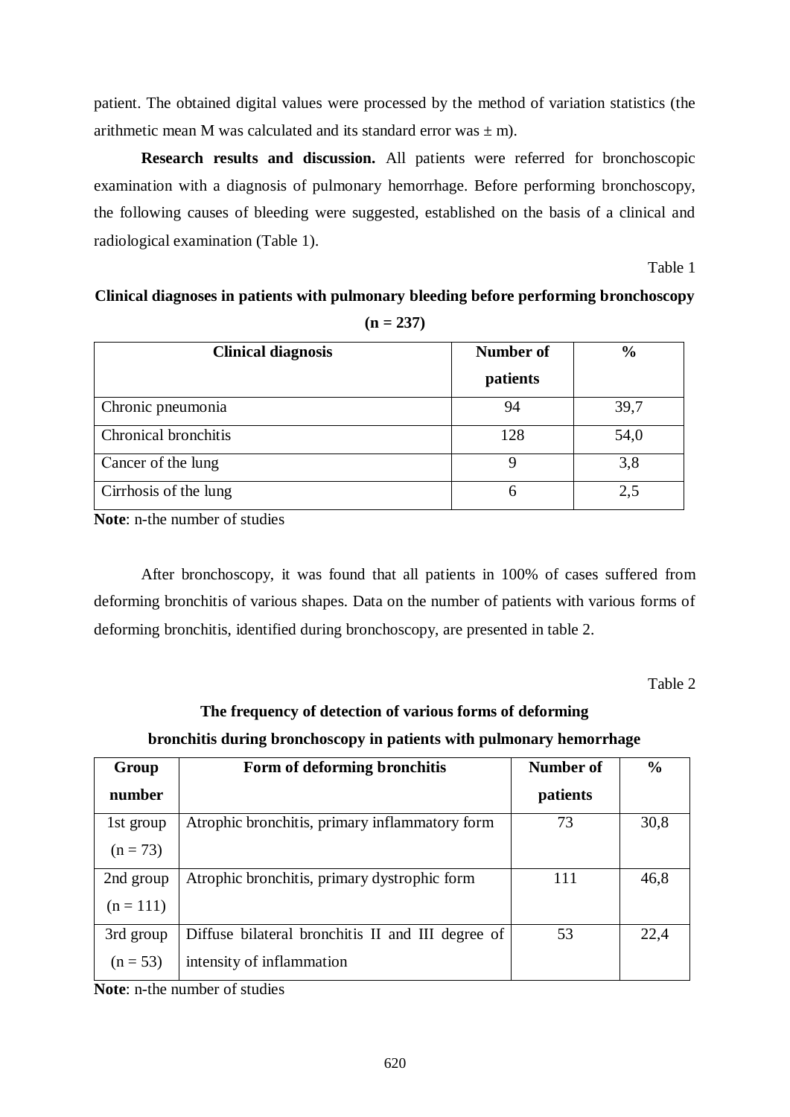patient. The obtained digital values were processed by the method of variation statistics (the arithmetic mean M was calculated and its standard error was  $\pm$  m).

**Research results and discussion.** All patients were referred for bronchoscopic examination with a diagnosis of pulmonary hemorrhage. Before performing bronchoscopy, the following causes of bleeding were suggested, established on the basis of a clinical and radiological examination (Table 1).

Table 1

### **Clinical diagnoses in patients with pulmonary bleeding before performing bronchoscopy (n = 237)**

| <b>Clinical diagnosis</b> | <b>Number of</b> | $\frac{0}{0}$ |
|---------------------------|------------------|---------------|
|                           | patients         |               |
| Chronic pneumonia         | 94               | 39,7          |
| Chronical bronchitis      | 128              | 54,0          |
| Cancer of the lung        | Q                | 3,8           |
| Cirrhosis of the lung     | 6                | 2,5           |

**Note**: n-the number of studies

After bronchoscopy, it was found that all patients in 100% of cases suffered from deforming bronchitis of various shapes. Data on the number of patients with various forms of deforming bronchitis, identified during bronchoscopy, are presented in table 2.

Table 2

# **The frequency of detection of various forms of deforming bronchitis during bronchoscopy in patients with pulmonary hemorrhage**

| Group       | Form of deforming bronchitis                      | Number of | $\frac{0}{0}$ |
|-------------|---------------------------------------------------|-----------|---------------|
| number      |                                                   | patients  |               |
| 1st group   | Atrophic bronchitis, primary inflammatory form    | 73        | 30,8          |
| $(n = 73)$  |                                                   |           |               |
| 2nd group   | Atrophic bronchitis, primary dystrophic form      | 111       | 46,8          |
| $(n = 111)$ |                                                   |           |               |
| 3rd group   | Diffuse bilateral bronchitis II and III degree of | 53        | 22,4          |
| $(n = 53)$  | intensity of inflammation                         |           |               |

**Note**: n-the number of studies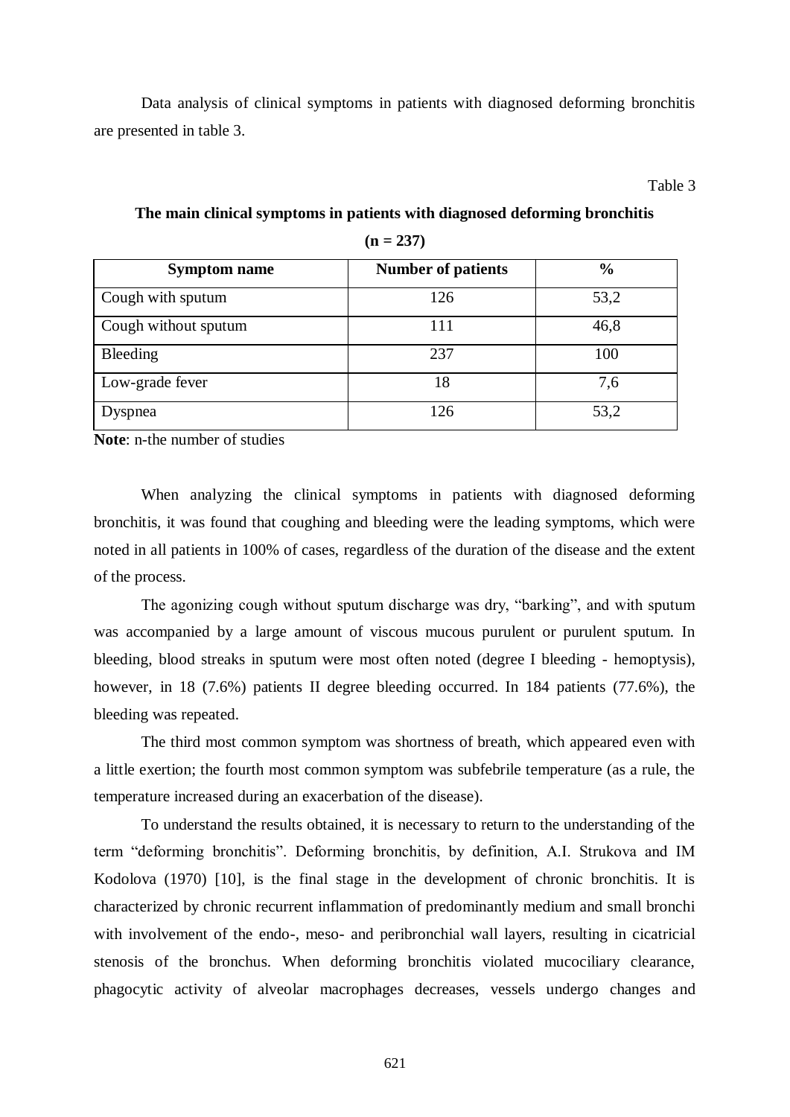Data analysis of clinical symptoms in patients with diagnosed deforming bronchitis are presented in table 3.

Table 3

| <b>Symptom name</b>  | <b>Number of patients</b> | $\frac{0}{0}$ |
|----------------------|---------------------------|---------------|
| Cough with sputum    | 126                       | 53,2          |
| Cough without sputum | 111                       | 46,8          |
| <b>Bleeding</b>      | 237                       | 100           |
| Low-grade fever      | 18                        | 7,6           |
| Dyspnea              | 126                       | 53,2          |

**The main clinical symptoms in patients with diagnosed deforming bronchitis (n = 237)**

**Note**: n-the number of studies

When analyzing the clinical symptoms in patients with diagnosed deforming bronchitis, it was found that coughing and bleeding were the leading symptoms, which were noted in all patients in 100% of cases, regardless of the duration of the disease and the extent of the process.

The agonizing cough without sputum discharge was dry, "barking", and with sputum was accompanied by a large amount of viscous mucous purulent or purulent sputum. In bleeding, blood streaks in sputum were most often noted (degree I bleeding - hemoptysis), however, in 18 (7.6%) patients II degree bleeding occurred. In 184 patients (77.6%), the bleeding was repeated.

The third most common symptom was shortness of breath, which appeared even with a little exertion; the fourth most common symptom was subfebrile temperature (as a rule, the temperature increased during an exacerbation of the disease).

To understand the results obtained, it is necessary to return to the understanding of the term "deforming bronchitis". Deforming bronchitis, by definition, A.I. Strukova and IM Kodolova (1970) [10], is the final stage in the development of chronic bronchitis. It is characterized by chronic recurrent inflammation of predominantly medium and small bronchi with involvement of the endo-, meso- and peribronchial wall layers, resulting in cicatricial stenosis of the bronchus. When deforming bronchitis violated mucociliary clearance, phagocytic activity of alveolar macrophages decreases, vessels undergo changes and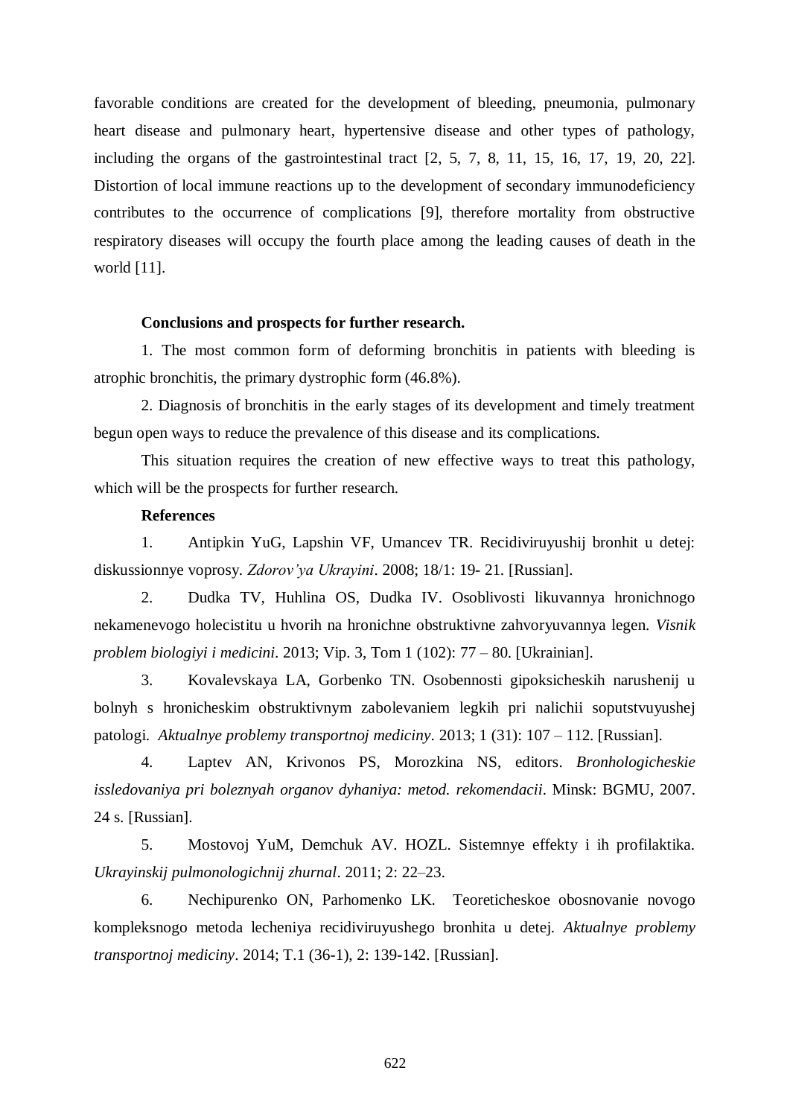favorable conditions are created for the development of bleeding, pneumonia, pulmonary heart disease and pulmonary heart, hypertensive disease and other types of pathology, including the organs of the gastrointestinal tract [2, 5, 7, 8, 11, 15, 16, 17, 19, 20, 22]. Distortion of local immune reactions up to the development of secondary immunodeficiency contributes to the occurrence of complications [9], therefore mortality from obstructive respiratory diseases will occupy the fourth place among the leading causes of death in the world [11].

#### **Conclusions and prospects for further research.**

1. The most common form of deforming bronchitis in patients with bleeding is atrophic bronchitis, the primary dystrophic form (46.8%).

2. Diagnosis of bronchitis in the early stages of its development and timely treatment begun open ways to reduce the prevalence of this disease and its complications.

This situation requires the creation of new effective ways to treat this pathology, which will be the prospects for further research.

### **References**

1. Antipkin YuG, Lapshin VF, Umancev TR. Recidiviruyushij bronhit u detej: diskussionnye voprosy. *Zdorov'ya Ukrayini*. 2008; 18/1: 19- 21. [Russian].

2. Dudka TV, Huhlina OS, Dudka IV. Osoblivosti likuvannya hronichnogo nekamenevogo holecistitu u hvorih na hronichne obstruktivne zahvoryuvannya legen. *Visnik problem biologiyi i medicini*. 2013; Vip. 3, Tom 1 (102): 77 – 80. [Ukrainian].

3. Kovalevskaya LA, Gorbenko TN. Osobennosti gipoksicheskih narushenij u bolnyh s hronicheskim obstruktivnym zabolevaniem legkih pri nalichii soputstvuyushej patologi. *Aktualnye problemy transportnoj mediciny*. 2013; 1 (31): 107 – 112. [Russian].

4. Laptev AN, Krivonos PS, Morozkina NS, editors. *Bronhologicheskie issledovaniya pri boleznyah organov dyhaniya: metod. rekomendacii*. Minsk: BGMU, 2007. 24 s. [Russian].

5. Mostovoj YuM, Demchuk AV. HOZL. Sistemnye effekty i ih profilaktika. *Ukrayinskij pulmonologichnij zhurnal*. 2011; 2: 22–23.

6. Nechipurenko ON, Parhomenko LK. Teoreticheskoe obosnovanie novogo kompleksnogo metoda lecheniya recidiviruyushego bronhita u detej. *Aktualnye problemy transportnoj mediciny*. 2014; T.1 (36-1), 2: 139-142. [Russian].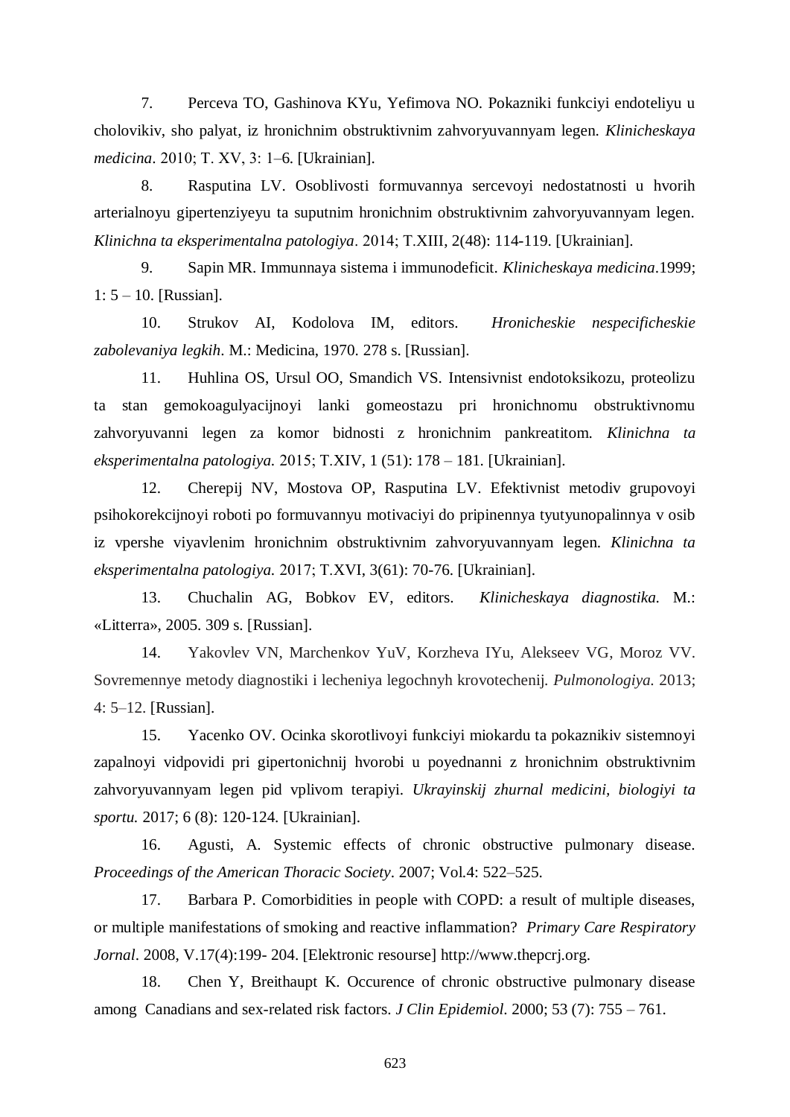7. Perceva TO, Gashinova KYu, Yefimova NO. Pokazniki funkciyi endoteliyu u cholovikiv, sho palyat, iz hronichnim obstruktivnim zahvoryuvannyam legen. *Klinicheskaya medicina*. 2010; Т. XV, 3: 1–6. [Ukrainian].

8. Rasputina LV. Osoblivosti formuvannya sercevoyi nedostatnosti u hvorih arterialnoyu gipertenziyeyu ta suputnim hronichnim obstruktivnim zahvoryuvannyam legen. *Klinichna ta eksperimentalna patologiya*. 2014; Т.XIII, 2(48): 114-119. [Ukrainian].

9. Sapin MR. Immunnaya sistema i immunodeficit. *Klinicheskaya medicina*.1999; 1: 5 – 10. [Russian].

10. Strukov AI, Kodolova IM, editors. *Hronicheskie nespecificheskie zabolevaniya legkih*. M.: Medicina, 1970. 278 s. [Russian].

11. Huhlina OS, Ursul OO, Smandich VS. Intensivnist endotoksikozu, proteolizu ta stan gemokoagulyacijnoyi lanki gomeostazu pri hronichnomu obstruktivnomu zahvoryuvanni legen za komor bidnosti z hronichnim pankreatitom. *Klinichna ta eksperimentalna patologiya.* 2015; Т.XIV, 1 (51): 178 – 181. [Ukrainian].

12. Cherepij NV, Mostova OP, Rasputina LV. Efektivnist metodiv grupovoyi psihokorekcijnoyi roboti po formuvannyu motivaciyi do pripinennya tyutyunopalinnya v osib iz vpershe viyavlenim hronichnim obstruktivnim zahvoryuvannyam legen. *Klinichna ta eksperimentalna patologiya.* 2017; Т.XVI, 3(61): 70-76. [Ukrainian].

13. Chuchalin AG, Bobkov EV, editors. *Klinicheskaya diagnostika.* M.: «Litterra», 2005. 309 s. [Russian].

14. Yakovlev VN, Marchenkov YuV, Korzheva IYu, Alekseev VG, Moroz VV. Sovremennye metody diagnostiki i lecheniya legochnyh krovotechenij. *Pulmonologiya.* 2013; 4: 5–12. [Russian].

15. Yacenko OV. Ocinka skorotlivoyi funkciyi miokardu ta pokaznikiv sistemnoyi zapalnoyi vidpovidi pri gipertonichnij hvorobi u poyednanni z hronichnim obstruktivnim zahvoryuvannyam legen pid vplivom terapiyi. *Ukrayinskij zhurnal medicini, biologiyi ta sportu.* 2017; 6 (8): 120-124. [Ukrainian].

16. Agusti, A. Systemic effects of chronic obstructive pulmonary disease. *Proceedings of the American Thoracic Society*. 2007; Vol.4: 522–525.

17. Barbara P. Comorbidities in people with COPD: a result of multiple diseases, or multiple manifestations of smoking and reactive inflammation? *Primary Care Respiratory Jornal*. 2008, V.17(4):199- 204. [Elektronic resourse] [http://www.thepcrj.org.](http://www.thepcrj.org/)

18. Chen Y, Breithaupt K. Occurence of chronic obstructive pulmonary disease among Canadians and sex-related risk factors. *J Clin Epidemiol*. 2000; 53 (7): 755 – 761.